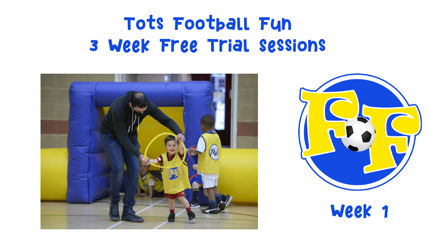## Tots Football Fun 3 Week Free Trial Sessions



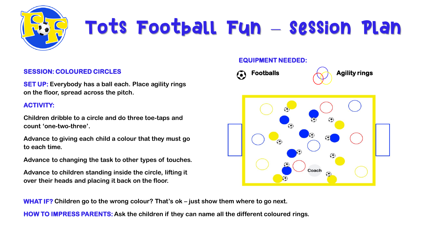

### **SESSION: COLOURED CIRCLES**

**SET UP: Everybody has a ball each. Place agility rings on the floor, spread across the pitch.**

### **ACTIVITY:**

**Children dribble to a circle and do three toe-taps and count 'one-two-three'.** 

**Advance to giving each child a colour that they must go to each time.**

**Advance to changing the task to other types of touches.**

**Advance to children standing inside the circle, lifting it over their heads and placing it back on the floor.**

### **EQUIPMENT NEEDED:**



**WHAT IF? Children go to the wrong colour? That's ok – just show them where to go next.**

**HOW TO IMPRESS PARENTS: Ask the children if they can name all the different coloured rings.**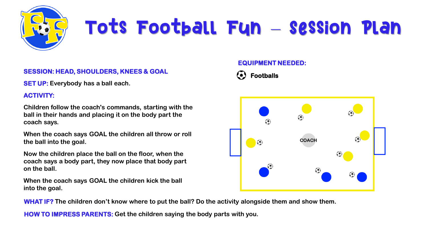

### **SESSION: HEAD, SHOULDERS, KNEES & GOAL**

**SET UP: Everybody has a ball each.** 

### **ACTIVITY:**

**Children follow the coach's commands, starting with the ball in their hands and placing it on the body part the coach says.** 

**When the coach says GOAL the children all throw or roll the ball into the goal.** 

**Now the children place the ball on the floor, when the coach says a body part, they now place that body part on the ball.** 

**When the coach says GOAL the children kick the ball into the goal.** 

**WHAT IF? The children don't know where to put the ball? Do the activity alongside them and show them.**

**HOW TO IMPRESS PARENTS: Get the children saying the body parts with you.** 

### **EQUIPMENT NEEDED:**



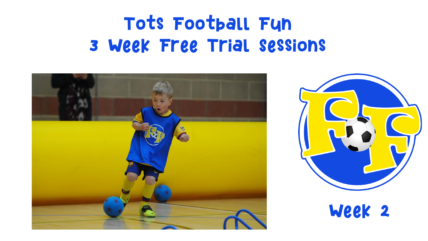## Tots Football Fun 3 Week Free Trial Sessions



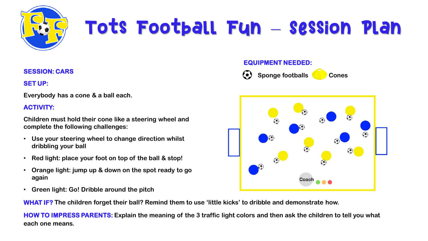

### **SESSION: CARS**

**SET UP:**

**Everybody has a cone & a ball each.**

### **ACTIVITY:**

**Children must hold their cone like a steering wheel and complete the following challenges:** 

- **Use your steering wheel to change direction whilst dribbling your ball**
- **Red light: place your foot on top of the ball & stop!**
- **Orange light: jump up & down on the spot ready to go again**
- **Green light: Go! Dribble around the pitch**

**WHAT IF? The children forget their ball? Remind them to use 'little kicks' to dribble and demonstrate how.** 

**HOW TO IMPRESS PARENTS: Explain the meaning of the 3 traffic light colors and then ask the children to tell you what each one means.** 

### **EQUIPMENT NEEDED:**



**Sponge footballs Cones** 

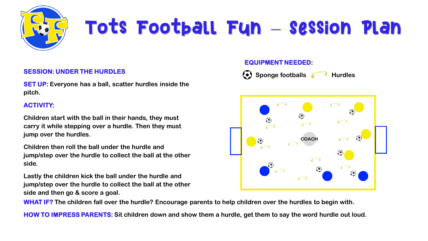

### **SESSION: UNDER THE HURDLES**

**SET UP: Everyone has a ball, scatter hurdles inside the pitch.**

### **ACTIVITY:**

**Children start with the ball in their hands, they must carry it while stepping over a hurdle. Then they must jump over the hurdles.** 

**Children then roll the ball under the hurdle and jump/step over the hurdle to collect the ball at the other side.** 

**Lastly the children kick the ball under the hurdle and jump/step over the hurdle to collect the ball at the other side and then go & score a goal.** 

**WHAT IF? The children fall over the hurdle? Encourage parents to help children over the hurdles to begin with.** 

**HOW TO IMPRESS PARENTS: Sit children down and show them a hurdle, get them to say the word hurdle out loud.** 

### **EQUIPMENT NEEDED:**



**(\*)** Sponge footballs V Hurdles

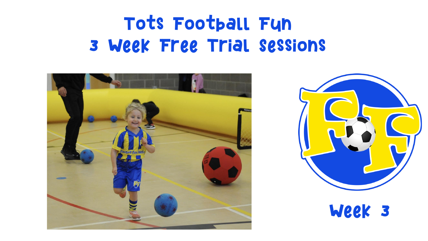## Tots Football Fun 3 Week Free Trial Sessions



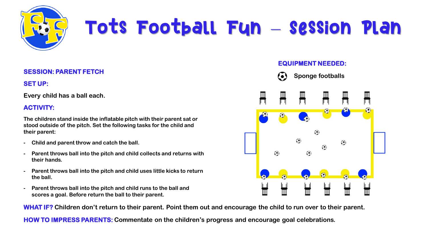

### **SESSION: PARENT FETCH**

**SET UP:**

**Every child has a ball each.**

### **ACTIVITY:**

**The children stand inside the inflatable pitch with their parent sat or stood outside of the pitch. Set the following tasks for the child and their parent:**

- **- Child and parent throw and catch the ball.**
- **- Parent throws ball into the pitch and child collects and returns with their hands.**
- **- Parent throws ball into the pitch and child uses little kicks to return the ball.**
- **- Parent throws ball into the pitch and child runs to the ball and scores a goal. Before return the ball to their parent.**

**EQUIPMENT NEEDED:**

**Sponge footballs**



**WHAT IF? Children don't return to their parent. Point them out and encourage the child to run over to their parent.**

**HOW TO IMPRESS PARENTS: Commentate on the children's progress and encourage goal celebrations.**